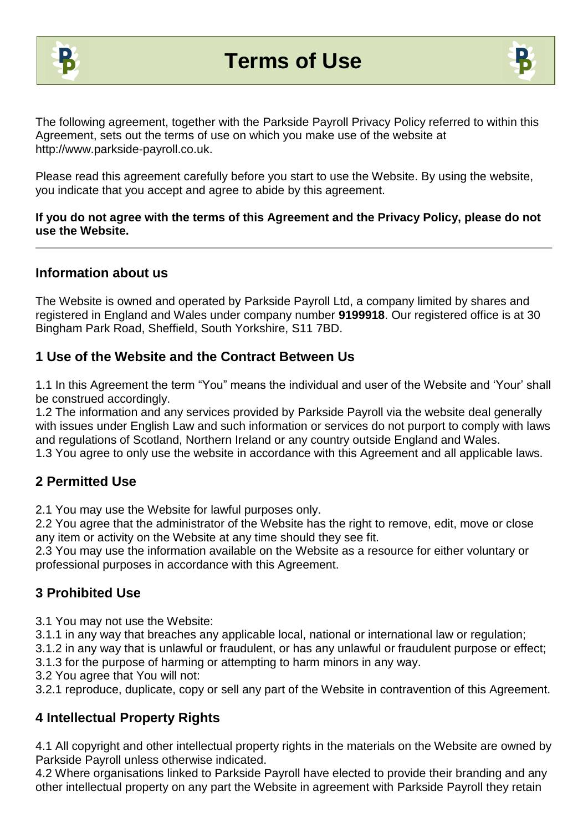



The following agreement, together with the Parkside Payroll Privacy Policy referred to within this Agreement, sets out the terms of use on which you make use of the website at http://www.parkside-payroll.co.uk.

Please read this agreement carefully before you start to use the Website. By using the website, you indicate that you accept and agree to abide by this agreement.

#### **If you do not agree with the terms of this Agreement and the Privacy Policy, please do not use the Website.**

### **Information about us**

The Website is owned and operated by Parkside Payroll Ltd, a company limited by shares and registered in England and Wales under company number **9199918**. Our registered office is at 30 Bingham Park Road, Sheffield, South Yorkshire, S11 7BD.

## **1 Use of the Website and the Contract Between Us**

1.1 In this Agreement the term "You" means the individual and user of the Website and 'Your' shall be construed accordingly.

1.2 The information and any services provided by Parkside Payroll via the website deal generally with issues under English Law and such information or services do not purport to comply with laws and regulations of Scotland, Northern Ireland or any country outside England and Wales. 1.3 You agree to only use the website in accordance with this Agreement and all applicable laws.

## **2 Permitted Use**

2.1 You may use the Website for lawful purposes only.

2.2 You agree that the administrator of the Website has the right to remove, edit, move or close any item or activity on the Website at any time should they see fit.

2.3 You may use the information available on the Website as a resource for either voluntary or professional purposes in accordance with this Agreement.

## **3 Prohibited Use**

3.1 You may not use the Website:

3.1.1 in any way that breaches any applicable local, national or international law or regulation;

3.1.2 in any way that is unlawful or fraudulent, or has any unlawful or fraudulent purpose or effect;

3.1.3 for the purpose of harming or attempting to harm minors in any way.

3.2 You agree that You will not:

3.2.1 reproduce, duplicate, copy or sell any part of the Website in contravention of this Agreement.

## **4 Intellectual Property Rights**

4.1 All copyright and other intellectual property rights in the materials on the Website are owned by Parkside Payroll unless otherwise indicated.

4.2 Where organisations linked to Parkside Payroll have elected to provide their branding and any other intellectual property on any part the Website in agreement with Parkside Payroll they retain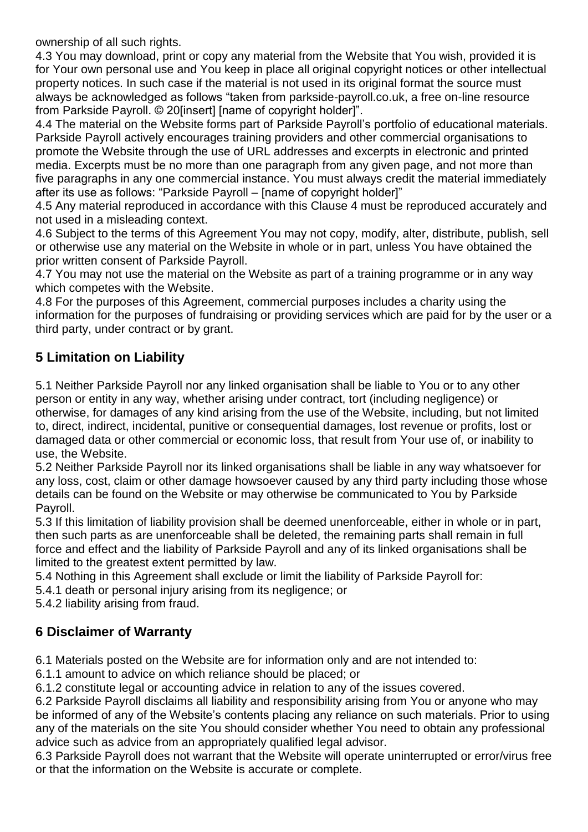ownership of all such rights.

4.3 You may download, print or copy any material from the Website that You wish, provided it is for Your own personal use and You keep in place all original copyright notices or other intellectual property notices. In such case if the material is not used in its original format the source must always be acknowledged as follows "taken from parkside-payroll.co.uk, a free on-line resource from Parkside Payroll. © 20[insert] [name of copyright holder]".

4.4 The material on the Website forms part of Parkside Payroll's portfolio of educational materials. Parkside Payroll actively encourages training providers and other commercial organisations to promote the Website through the use of URL addresses and excerpts in electronic and printed media. Excerpts must be no more than one paragraph from any given page, and not more than five paragraphs in any one commercial instance. You must always credit the material immediately after its use as follows: "Parkside Payroll – [name of copyright holder]"

4.5 Any material reproduced in accordance with this Clause 4 must be reproduced accurately and not used in a misleading context.

4.6 Subject to the terms of this Agreement You may not copy, modify, alter, distribute, publish, sell or otherwise use any material on the Website in whole or in part, unless You have obtained the prior written consent of Parkside Payroll.

4.7 You may not use the material on the Website as part of a training programme or in any way which competes with the Website.

4.8 For the purposes of this Agreement, commercial purposes includes a charity using the information for the purposes of fundraising or providing services which are paid for by the user or a third party, under contract or by grant.

## **5 Limitation on Liability**

5.1 Neither Parkside Payroll nor any linked organisation shall be liable to You or to any other person or entity in any way, whether arising under contract, tort (including negligence) or otherwise, for damages of any kind arising from the use of the Website, including, but not limited to, direct, indirect, incidental, punitive or consequential damages, lost revenue or profits, lost or damaged data or other commercial or economic loss, that result from Your use of, or inability to use, the Website.

5.2 Neither Parkside Payroll nor its linked organisations shall be liable in any way whatsoever for any loss, cost, claim or other damage howsoever caused by any third party including those whose details can be found on the Website or may otherwise be communicated to You by Parkside Payroll.

5.3 If this limitation of liability provision shall be deemed unenforceable, either in whole or in part, then such parts as are unenforceable shall be deleted, the remaining parts shall remain in full force and effect and the liability of Parkside Payroll and any of its linked organisations shall be limited to the greatest extent permitted by law.

5.4 Nothing in this Agreement shall exclude or limit the liability of Parkside Payroll for:

5.4.1 death or personal injury arising from its negligence; or

5.4.2 liability arising from fraud.

## **6 Disclaimer of Warranty**

6.1 Materials posted on the Website are for information only and are not intended to:

6.1.1 amount to advice on which reliance should be placed; or

6.1.2 constitute legal or accounting advice in relation to any of the issues covered.

6.2 Parkside Payroll disclaims all liability and responsibility arising from You or anyone who may be informed of any of the Website's contents placing any reliance on such materials. Prior to using any of the materials on the site You should consider whether You need to obtain any professional advice such as advice from an appropriately qualified legal advisor.

6.3 Parkside Payroll does not warrant that the Website will operate uninterrupted or error/virus free or that the information on the Website is accurate or complete.